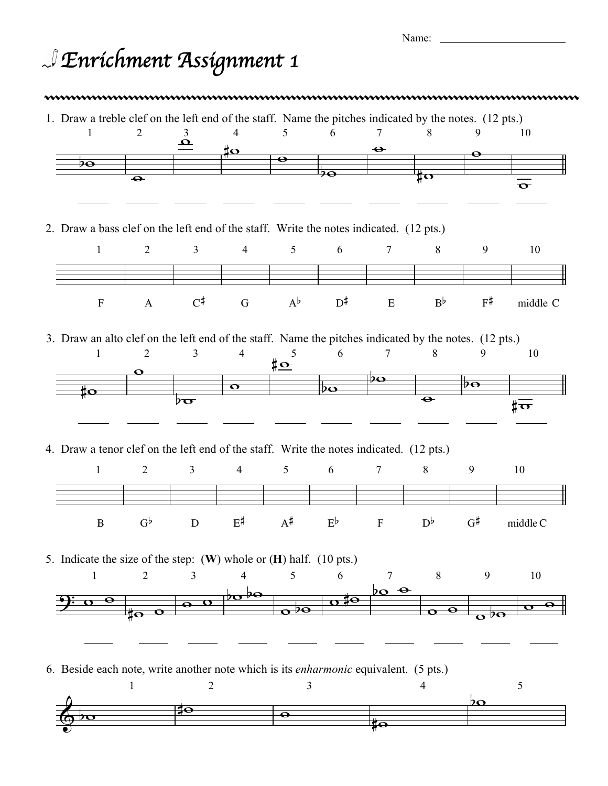| w<br>۰. |  |
|---------|--|

## *Enrichment Assignment 1*

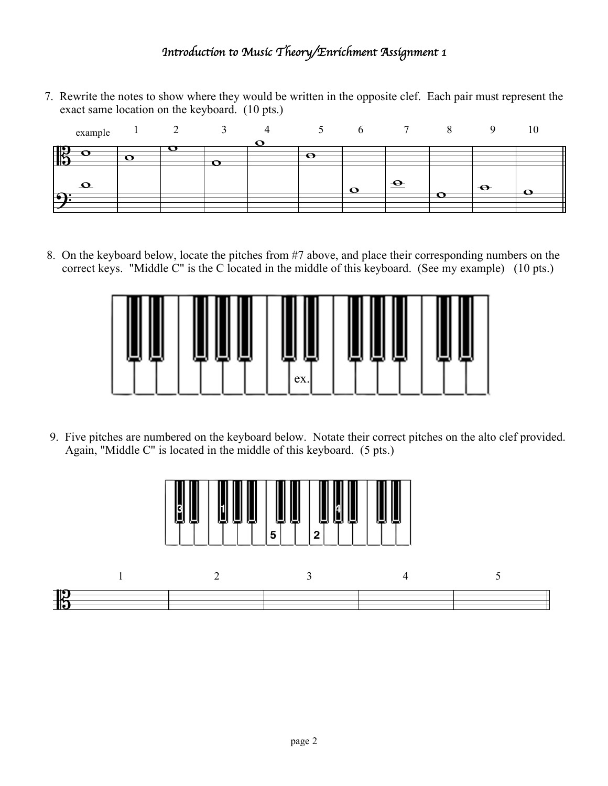## *Introduction to Music Theory/Enrichment Assignment 1*

7. Rewrite the notes to show where they would be written in the opposite clef. Each pair must represent the exact same location on the keyboard. (10 pts.)

|     | example           |  |     |   | $\mathfrak{b}$ |             |           |          |
|-----|-------------------|--|-----|---|----------------|-------------|-----------|----------|
|     |                   |  |     |   |                |             |           |          |
|     |                   |  |     |   |                |             |           |          |
|     |                   |  |     | e |                |             |           |          |
| HS  |                   |  | - 1 |   |                |             |           |          |
|     |                   |  |     |   |                |             |           |          |
|     |                   |  |     |   |                |             |           |          |
|     |                   |  |     |   |                |             |           |          |
|     | $\mathbf{\Omega}$ |  |     |   |                | $\triangle$ | $\bullet$ |          |
|     |                   |  |     |   | . .            |             |           | <u>.</u> |
| -61 |                   |  |     |   |                |             |           |          |
|     |                   |  |     |   |                |             |           |          |
|     |                   |  |     |   |                |             |           |          |

8. On the keyboard below, locate the pitches from #7 above, and place their corresponding numbers on the correct keys. "Middle C" is the C located in the middle of this keyboard. (See my example) (10 pts.)



9. Five pitches are numbered on the keyboard below. Notate their correct pitches on the alto clef provided. Again, "Middle C" is located in the middle of this keyboard. (5 pts.)